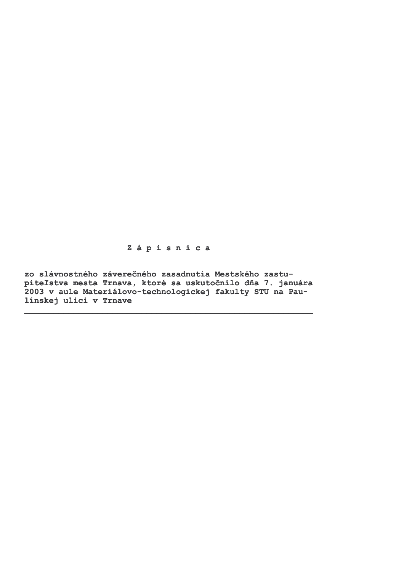Zápisnica

zo slávnostného záverečného zasadnutia Mestského zastupiteľstva mesta Trnava, ktoré sa uskutočnilo dňa 7. januára 2003 v aule Materiálovo-technologickej fakulty STU na Paulinskej ulici v Trnave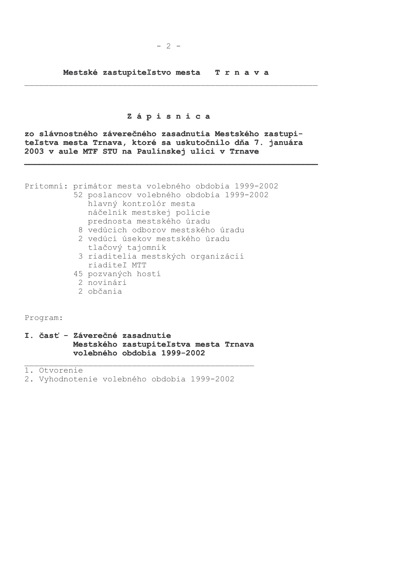Mestské zastupiteľstvo mesta Trnava

### Zápisnica

zo slávnostného záverečného zasadnutia Mestského zastupiteľstva mesta Trnava, ktoré sa uskutočnilo dňa 7. januára 2003 v aule MTF STU na Paulínskej ulici v Trnave

Prítomní: primátor mesta volebného obdobia 1999-2002

- 52 poslancov volebného obdobia 1999-2002
	- hlavný kontrolór mesta náčelník mestskej polície prednosta mestského úradu
	- 8 vedúcich odborov mestského úradu
	- 2 vedúci úsekov mestského úradu tlačový tajomník
	- 3 riaditelia mestských organizácií riaditeľ MTT
	- 45 pozvaných hostí
	- 2 novinári
	- 2 občania

Program:

### I. časť - Záverečné zasadnutie Mestského zastupiteľstva mesta Trnava volebného obdobia 1999-2002

1. Otvorenie

2. Vyhodnotenie volebného obdobia 1999-2002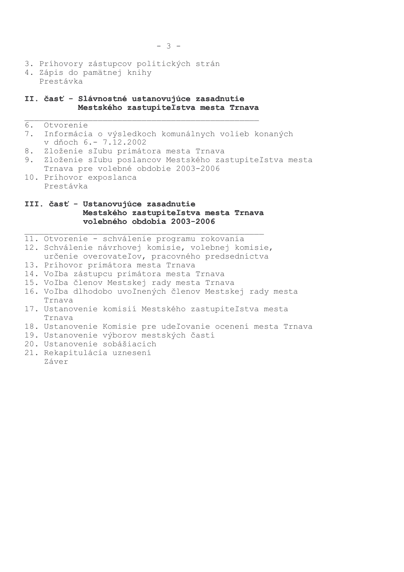- 3. Príhovory zástupcov politických strán
- 4. Zápis do pamätnej knihy Prestávka

## II. časť - Slávnostné ustanovujúce zasadnutie Mestského zastupiteľstva mesta Trnava

#### $6.$ Otvorenie

- Informácia o výsledkoch komunálnych volieb konaných  $7.$ v dňoch 6.- 7.12.2002
- 8. Zloženie sľubu primátora mesta Trnava
- Zloženie sľubu poslancov Mestského zastupiteľstva mesta 9. Trnava pre volebné obdobie 2003-2006
- 10. Príhovor exposlanca Prestávka

### III. časť - Ustanovujúce zasadnutie Mestského zastupiteľstva mesta Trnava volebného obdobia 2003-2006

- 11. Otvorenie schválenie programu rokovania
- 12. Schválenie návrhovej komisie, volebnej komisie, určenie overovateľov, pracovného predsedníctva
- 13. Príhovor primátora mesta Trnava
- 14. Voľba zástupcu primátora mesta Trnava
- 15. Voľba členov Mestskej rady mesta Trnava
- 16. Voľba dlhodobo uvoľnených členov Mestskej rady mesta Trnava
- 17. Ustanovenie komisií Mestského zastupiteľstva mesta Trnava
- 18. Ustanovenie Komisie pre udeľovanie ocenení mesta Trnava
- 19. Ustanovenie výborov mestských častí
- 20. Ustanovenie sobášiacich
- 21. Rekapitulácia uznesení Záver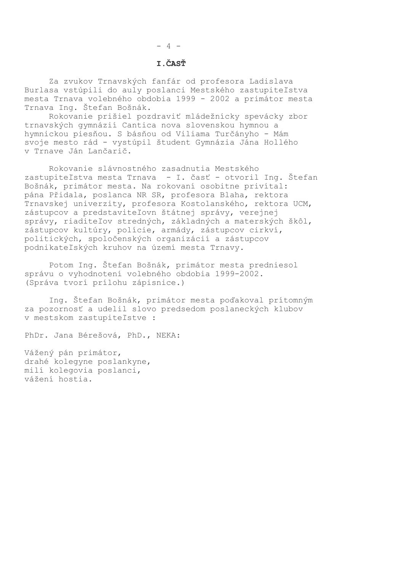# I.ČASŤ

Za zvukov Trnavských fanfár od profesora Ladislava Burlasa vstúpili do auly poslanci Mestského zastupiteľstva mesta Trnava volebného obdobia 1999 - 2002 a primátor mesta Trnava Ing. Štefan Bošnák.

Rokovanie prišiel pozdraviť mládežnícky spevácky zbor trnavských gymnázií Cantica nova slovenskou hymnou a hymnickou piesňou. S básňou od Viliama Turčányho - Mám svoje mesto rád - vystúpil študent Gymnázia Jána Hollého v Trnave Ján Lančarič.

Rokovanie slávnostného zasadnutia Mestského zastupiteľstva mesta Trnava - I. časť - otvoril Ing. Štefan Bošnák, primátor mesta. Na rokovaní osobitne privítal: pána Přidala, poslanca NR SR, profesora Blaha, rektora Trnavskej univerzity, profesora Kostolanského, rektora UCM, zástupcov a predstaviteľovn štátnej správy, verejnej správy, riaditeľov stredných, základných a materských škôl, zástupcov kultúry, polície, armády, zástupcov cirkví, politických, spoločenských organizácií a zástupcov podnikateľských kruhov na území mesta Trnavy.

Potom Ing. Štefan Bošnák, primátor mesta predniesol správu o vyhodnotení volebného obdobia 1999-2002. (Správa tvorí prílohu zápisnice.)

Ing. Štefan Bošnák, primátor mesta poďakoval prítomným za pozornosť a udelil slovo predsedom poslaneckých klubov v mestskom zastupiteľstve :

PhDr. Jana Bérešová, PhD., NEKA:

Vážený pán primátor, drahé kolegyne poslankyne, milí kolegovia poslanci, vážení hostia.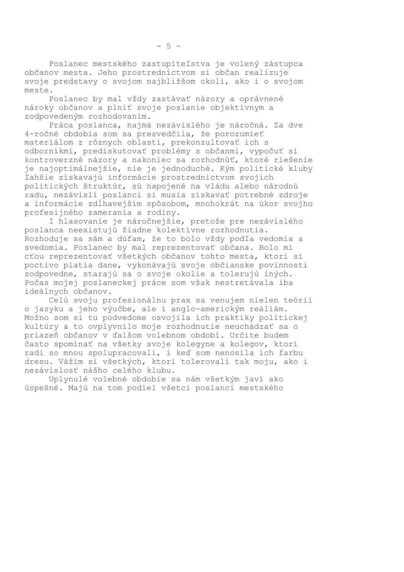Poslanec mestského zastupiteľstva je volený zástupca občanov mesta. Jeho prostredníctvom si občan realizuje svoje predstavy o svojom najbližšom okolí, ako i o svojom meste.

Poslanec by mal vždy zastávať názory a oprávnené nároky občanov a plniť svoje poslanie objektívnym a zodpovedeným rozhodovaním.

Práca poslanca, najmä nezávislého je náročná. Za dve 4-ročné obdobia som sa presvedčila, že porozumieť materiálom z rôznych oblastí, prekonzultovať ich s odborníkmi, prediskutovať problémy s občanmi, vypočuť si kontroverzné názory a nakoniec sa rozhodnúť, ktoré riešenie je najoptimálnejšie, nie je jednoduché. Kým politické kluby ľahšie získavajú informácie prostredníctvom svojich politických štruktúr, sú napojené na vládu alebo národnú radu, nezávislí poslanci si musia získavať potrebné zdroje a informácie zdĺhavejším spôsobom, mnohokrát na úkor svojho profesijného zamerania a rodiny.

I hlasovanie je náročnejšie, pretože pre nezávislého poslanca neexistujú žiadne kolektívne rozhodnutia. Rozhoduje sa sám a dúfam, že to bolo vždy podľa vedomia a svedomia. Poslanec by mal reprezentovať občana. Bolo mi cťou reprezentovať všetkých občanov tohto mesta, ktorí si poctivo platia dane, vykonávajú svoje občianske povinnosti zodpovedne, starajú sa o svoje okolie a tolerujú iných. Počas mojej poslaneckej práce som však nestretávala iba ideálnych občanov.

Celú svoju profesionálnu prax sa venujem nielen teórii o jazyku a jeho výučbe, ale i anglo-americkým reáliám. Možno som si tu podvedome osvojila ich praktiky politickej kultúry a to ovplyvnilo moje rozhodnutie neuchádzať sa o priazeň občanov v ďalšom volebnom období. Určite budem často spomínať na všetky svoje kolegyne a kolegov, ktorí radi so mnou spolupracovali, i keď som nenosila ich farbu dresu. Vážim si všetkých, ktorí tolerovali tak moju, ako i nezávislosť nášho celého klubu.

Uplynulé volebné obdobie sa nám všetkým javí ako úspešné. Majú na tom podiel všetci poslanci mestského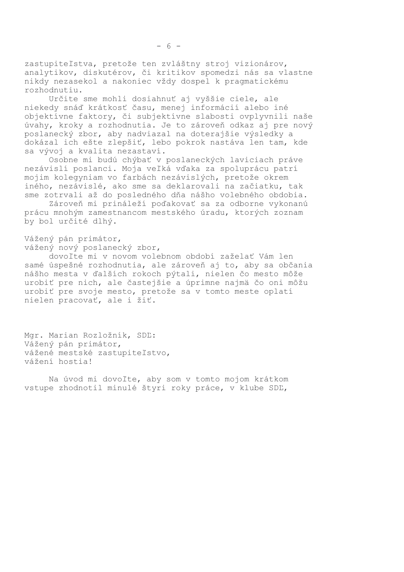zastupiteľstva, pretože ten zvláštny stroj vizionárov, analytikov, diskutérov, či kritikov spomedzi nás sa vlastne nikdy nezasekol a nakoniec vždy dospel k pragmatickému rozhodnutiu.

Určite sme mohli dosiahnuť aj vyššie ciele, ale niekedy snáď krátkosť času, menej informácií alebo iné objektívne faktory, či subjektívne slabosti ovplyvnili naše úvahy, kroky a rozhodnutia. Je to zároveň odkaz aj pre nový poslanecký zbor, aby nadviazal na doterajšie výsledky a dokázal ich ešte zlepšiť, lebo pokrok nastáva len tam, kde sa vývoj a kvalita nezastaví.

Osobne mi budú chýbať v poslaneckých laviciach práve nezávislí poslanci. Moja veľká vďaka za spoluprácu patrí mojim kolegyniam vo farbách nezávislých, pretože okrem iného, nezávislé, ako sme sa deklarovali na začiatku, tak sme zotrvali až do posledného dňa nášho volebného obdobia.

Zároveň mi prináleží poďakovať sa za odborne vykonanú prácu mnohým zamestnancom mestského úradu, ktorých zoznam by bol určité dlhý.

Vážený pán primátor, vážený nový poslanecký zbor,

dovoľte mi v novom volebnom období zaželať Vám len samé úspešné rozhodnutia, ale zároveň aj to, aby sa občania nášho mesta v ďalších rokoch pýtali, nielen čo mesto môže urobiť pre nich, ale častejšie a úprimne najmä čo oni môžu urobiť pre svoje mesto, pretože sa v tomto meste oplatí nielen pracovať, ale i žiť.

Mgr. Marian Rozložník, SDĽ: Vážený pán primátor, vážené mestské zastupiteľstvo, vážení hostia!

Na úvod mi dovoľte, aby som v tomto mojom krátkom vstupe zhodnotil minulé štyri roky práce, v klube SDĽ,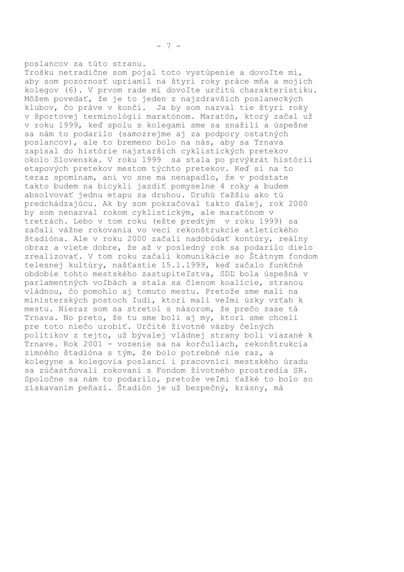poslancov za túto stranu. Trošku netradične som pojal toto vystúpenie a dovoľte mi, aby som pozornosť upriamil na štyri roky práce mňa a mojich kolegov (6). V prvom rade mi dovoľte určitú charakteristiku. Môžem povedať, že je to jeden z najzdravších poslaneckých klubov, čo práve v končí. Ja by som nazval tie štyri roky v športovej terminológii maratónom. Maratón, ktorý začal už v roku 1999, keď spolu s kolegami sme sa snažili a úspešne sa nám to podarilo (samozrejme aj za podpory ostatných poslancov), ale to bremeno bolo na nás, aby sa Trnava zapísal do histórie najstarších cyklistických pretekov okolo Slovenska. V roku 1999 sa stala po prvýkrát histórii etapových pretekov mestom týchto pretekov. Keď si na to teraz spomínam, ani vo sne ma nenapadlo, že v podstate takto budem na bicykli jazdiť pomyselne 4 roky a budem absolvovať jednu etapu za druhou. Druhú ťažšiu ako tú predchádzajúcu. Ak by som pokračoval takto ďalej, rok 2000 by som nenazval rokom cyklistickým, ale maratónom v tretrách. Lebo v tom roku (ešte predtým v roku 1999) sa začali vážne rokovania vo veci rekonštrukcie atletického štadióna. Ale v roku 2000 začali nadobúdať kontúry, reálny obraz a viete dobre, že až v posledný rok sa podarilo dielo zrealizovať. V tom roku začali komunikácie so Štátnym fondom telesnej kultúry, našťastie 15.1.1999, keď začalo funkčné obdobie tohto mestského zastupiteľstva, SDĽ bola úspešná v parlamentných voľbách a stala sa členom koalície, stranou vládnou, čo pomohlo aj tomuto mestu. Pretože sme mali na ministerských postoch ľudí, ktorí mali veľmi úzky vzťah k mestu. Nieraz som sa stretol s názorom, že prečo zase tá Trnava. No preto, že tu sme boli aj my, ktorí sme chceli pre toto niečo urobiť. Určité životné väzby čelných politikov z tejto, už bývalej vládnej strany boli viazané k Trnave. Rok 2001 - vozenie sa na korčuliach, rekonštrukcia zimného štadióna s tým, že bolo potrebné nie raz, a kolegyne a kolegovia poslanci i pracovníci mestského úradu sa zúčastňovali rokovaní s Fondom životného prostredia SR. Spoločne sa nám to podarilo, pretože veľmi ťažké to bolo so získavaním peňazí. Štadión je už bezpečný, krásny, má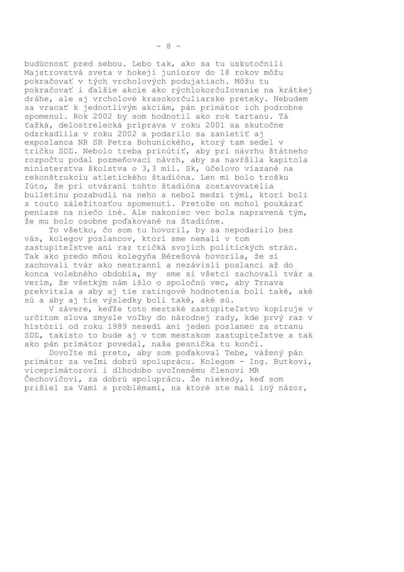budúcnosť pred sebou. Lebo tak, ako sa tu uskutočnili Majstrovstvá sveta v hokeji juniorov do 18 rokov môžu pokračovať v tých vrcholových podujatiach. Môžu tu pokračovať i ďalšie akcie ako rýchlokorčuľovanie na krátkej dráhe, ale aj vrcholové krasokorčuliarske preteky. Nebudem sa vracať k jednotlivým akciám, pán primátor ich podrobne spomenul. Rok 2002 by som hodnotil ako rok tartanu. Tá ťažká, delostrelecká príprava v roku 2001 sa skutočne odzrkadlila v roku 2002 a podarilo sa zanietiť aj exposlanca NR SR Petra Bohunického, ktorý tam sedel v tričku SDĽ. Nebolo treba prinútiť, aby pri návrhu štátneho rozpočtu podal pozmeňovací návrh, aby sa navŕšila kapitola ministerstva školstva o 3,3 mil. Sk, účelovo viazané na rekonštrukciu atletického štadióna. Len mi bolo trošku ľúto, že pri otváraní tohto štadióna zostavovatelia bulletinu pozabudli na neho a nebol medzi tými, ktorí boli s touto záležitosťou spomenutí. Pretože on mohol poukázať peniaze na niečo iné. Ale nakoniec vec bola napravená tým, že mu bolo osobne poďakované na štadióne.

To všetko, čo som tu hovoril, by sa nepodarilo bez vás, kolegov poslancov, ktorí sme nemali v tom zastupiteľstve ani raz tričká svojich politických strán. Tak ako predo mňou kolegyňa Bérešová hovorila, že si zachovali tvár ako nestranní a nezávislí poslanci až do konca volebného obdobia, my sme si všetci zachovali tvár a verím, že všetkým nám išlo o spoločnú vec, aby Trnava prekvitala a aby aj tie ratingové hodnotenia boli také, aké sú a aby aj tie výsledky boli také, aké sú.

V závere, keďže toto mestské zastupiteľstvo kopíruje v určitom slova zmysle voľby do národnej rady, kde prvý raz v histórii od roku 1989 nesedí ani jeden poslanec za stranu SDL, takisto to bude aj v tom mestskom zastupiteľstve a tak ako pán primátor povedal, naša pesnička tu končí.

Dovoľte mi preto, aby som poďakoval Tebe, vážený pán primátor za veľmi dobrú spoluprácu. Kolegom - Ing. Butkovi, viceprimátorovi i dlhodobo uvoľnenému členovi MR Čechovičovi, za dobrú spoluprácu. Že niekedy, keď som prišiel za Vami s problémami, na ktoré ste mali iný názor,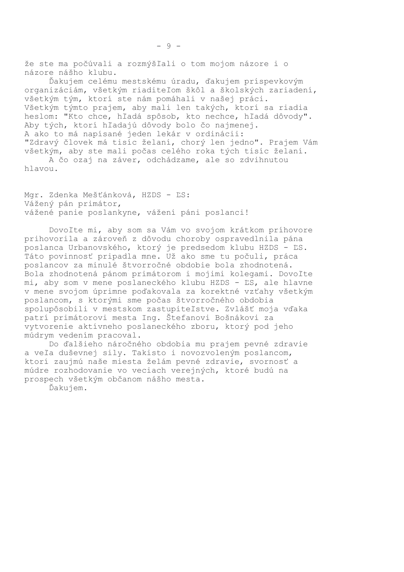Ďakujem celému mestskému úradu, ďakujem príspevkovým organizáciám, všetkým riaditeľom škôl a školských zariadení, všetkým tým, ktorí ste nám pomáhali v našej práci. Všetkým týmto prajem, aby mali len takých, ktorí sa riadia heslom: "Kto chce, hľadá spôsob, kto nechce, hľadá dôvody". Aby tých, ktorí hľadajú dôvody bolo čo najmenej. A ako to má napísané jeden lekár v ordinácii: "Zdravý človek má tisíc želaní, chorý len jedno". Prajem Vám všetkým, aby ste mali počas celého roka tých tisíc želaní.

A čo ozaj na záver, odchádzame, ale so zdvihnutou hlavou.

Mgr. Zdenka Mešťánková, HZDS - ĽS: Vážený pán primátor, vážené panie poslankyne, vážení páni poslanci!

Dovoľte mi, aby som sa Vám vo svojom krátkom príhovore prihovorila a zároveň z dôvodu choroby ospravedlnila pána poslanca Urbanovského, ktorý je predsedom klubu HZDS - LS. Táto povinnosť pripadla mne. Už ako sme tu počuli, práca poslancov za minulé štvorročné obdobie bola zhodnotená. Bola zhodnotená pánom primátorom i mojimi kolegami. Dovoľte mi, aby som v mene poslaneckého klubu HZDS - ĽS, ale hlavne v mene svojom úprimne poďakovala za korektné vzťahy všetkým poslancom, s ktorými sme počas štvorročného obdobia spolupôsobili v mestskom zastupiteľstve. Zvlášť moja vďaka patrí primátorovi mesta Ing. Štefanovi Bošnákovi za vytvorenie aktívneho poslaneckého zboru, ktorý pod jeho múdrym vedením pracoval.

Do ďalšieho náročného obdobia mu prajem pevné zdravie a veľa duševnej sily. Takisto i novozvoleným poslancom, ktorí zaujmú naše miesta želám pevné zdravie, svornosť a múdre rozhodovanie vo veciach verejných, ktoré budú na prospech všetkým občanom nášho mesta.

Ďakujem.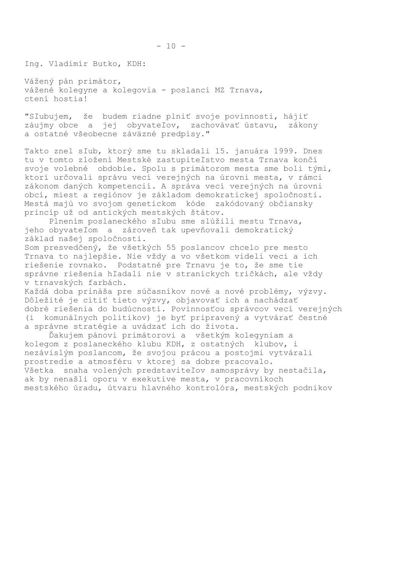Vážený pán primátor, vážené kolegyne a kolegovia - poslanci MZ Trnava, ctení hostia!

"Sľubujem, že budem riadne plniť svoje povinnosti, hájiť záujmy obce a jej obyvateľov, zachovávať ústavu, zákony a ostatné všeobecne záväzné predpisy."

Takto znel sľub, ktorý sme tu skladali 15. januára 1999. Dnes tu v tomto zložení Mestské zastupiteľstvo mesta Trnava končí svoje volebné obdobie. Spolu s primátorom mesta sme boli tými, ktorí určovali správu vecí verejných na úrovni mesta, v rámci zákonom daných kompetencií. A správa vecí verejných na úrovni obcí, miest a regiónov je základom demokratickej spoločnosti. Mestá majú vo svojom genetickom kóde zakódovaný občiansky princíp už od antických mestských štátov.

Plnením poslaneckého sľubu sme slúžili mestu Trnava, jeho obyvateľom a zároveň tak upevňovali demokratický základ našej spoločnosti.

Som presvedčený, že všetkých 55 poslancov chcelo pre mesto Trnava to najlepšie. Nie vždy a vo všetkom videli veci a ich riešenie rovnako. Podstatné pre Trnavu je to, že sme tie správne riešenia hľadali nie v straníckych tričkách, ale vždy v trnavských farbách.

Každá doba prináša pre súčasníkov nové a nové problémy, výzvy. Dôležité je cítiť tieto výzvy, objavovať ich a nachádzať dobré riešenia do budúcnosti. Povinnosťou správcov vecí verejných komunálnych politikov) je byť pripravený a vytvárať čestné (i a správne stratégie a uvádzať ich do života.

Ďakujem pánovi primátorovi a všetkým kolegyniam a kolegom z poslaneckého klubu KDH, z ostatných klubov, i nezávislým poslancom, že svojou prácou a postojmi vytvárali prostredie a atmosféru v ktorej sa dobre pracovalo. Všetka snaha volených predstaviteľov samosprávy by nestačila, ak by nenašli oporu v exekutíve mesta, v pracovníkoch mestského úradu, útvaru hlavného kontrolóra, mestských podnikov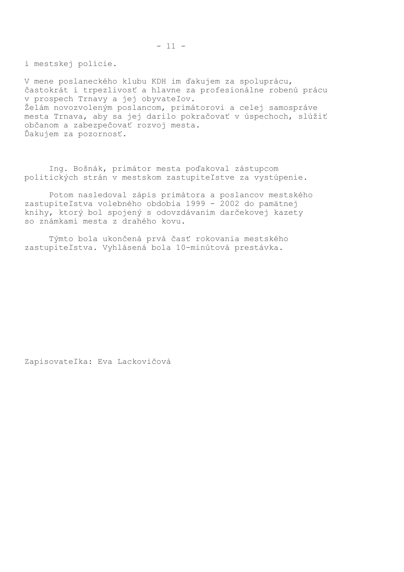i mestskej polície.

V mene poslaneckého klubu KDH im ďakujem za spoluprácu, častokrát i trpezlivosť a hlavne za profesionálne robenú prácu v prospech Trnavy a jej obyvateľov. Želám novozvoleným poslancom, primátorovi a celej samospráve mesta Trnava, aby sa jej darilo pokračovať v úspechoch, slúžiť občanom a zabezpečovať rozvoj mesta. Ďakujem za pozornosť.

Ing. Bošnák, primátor mesta poďakoval zástupcom politických strán v mestskom zastupiteľstve za vystúpenie.

Potom nasledoval zápis primátora a poslancov mestského zastupiteľstva volebného obdobia 1999 - 2002 do pamätnej knihy, ktorý bol spojený s odovzdávaním darčekovej kazety so známkami mesta z drahého kovu.

Týmto bola ukončená prvá časť rokovania mestského zastupiteľstva. Vyhlásená bola 10-minútová prestávka.

Zapisovateľka: Eva Lackovičová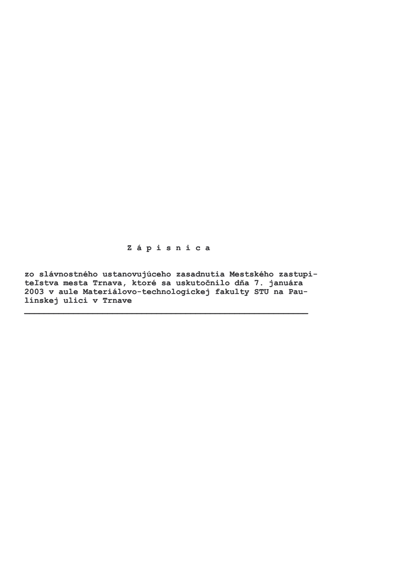Zápisnica

zo slávnostného ustanovujúceho zasadnutia Mestského zastupiteľstva mesta Trnava, ktoré sa uskutočnilo dňa 7. januára 2003 v aule Materiálovo-technologickej fakulty STU na Paulinskej ulici v Trnave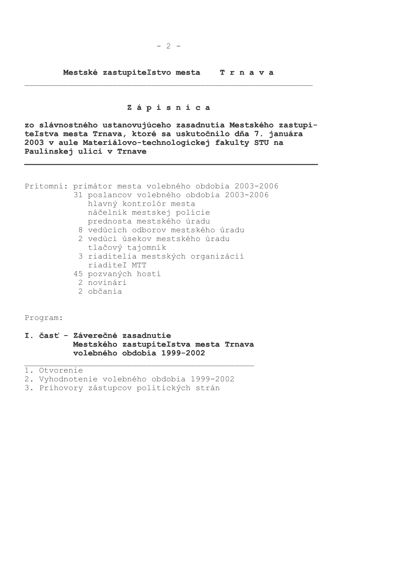Mestské zastupiteľstvo mesta Trnava

### Zápisnica

zo slávnostného ustanovujúceho zasadnutia Mestského zastupiteľstva mesta Trnava, ktoré sa uskutočnilo dňa 7. januára 2003 v aule Materiálovo-technologickej fakulty STU na Paulinskej ulici v Trnave

Prítomní: primátor mesta volebného obdobia 2003-2006

- 31 poslancov volebného obdobia 2003-2006
	- hlavný kontrolór mesta náčelník mestskej polície prednosta mestského úradu
	- 8 vedúcich odborov mestského úradu
	- 2 vedúci úsekov mestského úradu tlačový tajomník
	- 3 riaditelia mestských organizácií riaditeľ MTT
	- 45 pozvaných hostí
	- 2 novinári
	- 2 občania

Program:

### I. časť - Záverečné zasadnutie Mestského zastupiteľstva mesta Trnava volebného obdobia 1999-2002

1. Otvorenie

- 2. Vyhodnotenie volebného obdobia 1999-2002
- 3. Príhovory zástupcov politických strán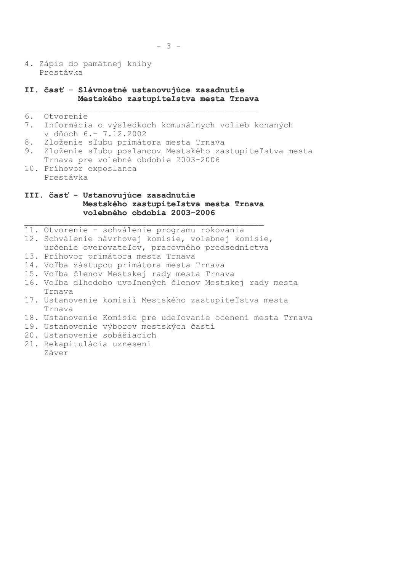4. Zápis do pamätnej knihy Prestávka

### II. časť - Slávnostné ustanovujúce zasadnutie Mestského zastupiteľstva mesta Trnava

| 6. | Otvorenie |
|----|-----------|
|    |           |
|    |           |
|    |           |

- $7.$ Informácia o výsledkoch komunálnych volieb konaných v dňoch 6. – 7.12.2002
- 8. Zloženie sľubu primátora mesta Trnava
- 9. Zloženie sľubu poslancov Mestského zastupiteľstva mesta Trnava pre volebné obdobie 2003-2006
- 10. Príhovor exposlanca Prestávka

## III. časť - Ustanovujúce zasadnutie Mestského zastupiteľstva mesta Trnava volebného obdobia 2003-2006

11. Otvorenie - schválenie programu rokovania 12. Schválenie návrhovej komisie, volebnej komisie, určenie overovateľov, pracovného predsedníctva 13. Príhovor primátora mesta Trnava 14. Voľba zástupcu primátora mesta Trnava 15. Voľba členov Mestskej rady mesta Trnava

- 16. Voľba dlhodobo uvoľnených členov Mestskej rady mesta Trnava
- 17. Ustanovenie komisií Mestského zastupiteľstva mesta Trnava
- 18. Ustanovenie Komisie pre udeľovanie ocenení mesta Trnava
- 19. Ustanovenie výborov mestských častí
- 20. Ustanovenie sobášiacich
- 21. Rekapitulácia uznesení
	- Záver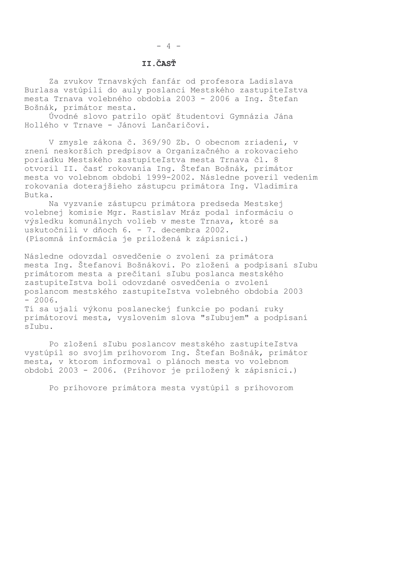# II.ČASŤ

Za zvukov Trnavských fanfár od profesora Ladislava Burlasa vstúpili do auly poslanci Mestského zastupiteľstva mesta Trnava volebného obdobia 2003 - 2006 a Ing. Štefan Bošnák, primátor mesta.

Úvodné slovo patrilo opäť študentovi Gymnázia Jána Hollého v Trnave - Jánovi Lančaričovi.

V zmysle zákona č. 369/90 Zb. O obecnom zriadení, v znení neskorších predpisov a Organizačného a rokovacieho poriadku Mestského zastupiteľstva mesta Trnava čl. 8 otvoril II. časť rokovania Ing. Štefan Bošnák, primátor mesta vo volebnom období 1999-2002. Následne poveril vedením rokovania doterajšieho zástupcu primátora Ing. Vladimíra Butka.

Na vyzvanie zástupcu primátora predseda Mestskej volebnej komisie Mgr. Rastislav Mráz podal informáciu o výsledku komunálnych volieb v meste Trnava, ktoré sa uskutočnili v dňoch 6. - 7. decembra 2002. (Písomná informácia je priložená k zápisnici.)

Následne odovzdal osvedčenie o zvolení za primátora mesta Ing. Štefanovi Bošnákovi. Po zložení a podpísaní sľubu primátorom mesta a prečítaní sľubu poslanca mestského zastupiteľstva boli odovzdané osvedčenia o zvolení poslancom mestského zastupiteľstva volebného obdobia 2003  $-2006.$ 

Tí sa ujali výkonu poslaneckej funkcie po podaní ruky primátorovi mesta, vyslovením slova "sľubujem" a podpísaní sľubu.

Po zložení sľubu poslancov mestského zastupiteľstva vystúpil so svojím príhovorom Ing. Štefan Bošnák, primátor mesta, v ktorom informoval o plánoch mesta vo volebnom období 2003 - 2006. (Príhovor je priložený k zápisnici.)

Po príhovore primátora mesta vystúpil s príhovorom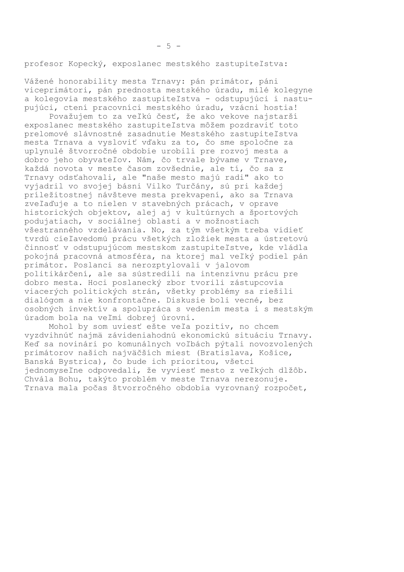profesor Kopecký, exposlanec mestského zastupiteľstva:

Vážené honorability mesta Trnavy: pán primátor, páni viceprimátori, pán prednosta mestského úradu, milé kolegyne a kolegovia mestského zastupiteľstva - odstupujúci i nastupujúci, ctení pracovníci mestského úradu, vzácni hostia!

Považujem to za veľkú česť, že ako vekove najstarší exposlanec mestského zastupiteľstva môžem pozdraviť toto prelomové slávnostné zasadnutie Mestského zastupiteľstva mesta Trnava a vysloviť vďaku za to, čo sme spoločne za uplynulé štvorročné obdobie urobili pre rozvoj mesta a dobro jeho obyvateľov. Nám, čo trvale bývame v Trnave, každá novota v meste časom zovšednie, ale tí, čo sa z Trnavy odsťahovali, ale "naše mesto majú radi" ako to vyjadril vo svojej básni Vilko Turčány, sú pri každej príležitostnej návšteve mesta prekvapení, ako sa Trnava zveľaďuje a to nielen v stavebných prácach, v oprave historických objektov, alej aj v kultúrnych a športových podujatiach, v sociálnej oblasti a v možnostiach všestranného vzdelávania. No, za tým všetkým treba vidieť tvrdú cieľavedomú prácu všetkých zložiek mesta a ústretovú činnosť v odstupujúcom mestskom zastupiteľstve, kde vládla pokojná pracovná atmosféra, na ktorej mal veľký podiel pán primátor. Poslanci sa nerozptylovali v jalovom politikárčení, ale sa sústredili na intenzívnu prácu pre dobro mesta. Hoci poslanecký zbor tvorili zástupcovia viacerých politických strán, všetky problémy sa riešili dialógom a nie konfrontačne. Diskusie boli vecné, bez osobných invektív a spolupráca s vedením mesta i s mestským úradom bola na veľmi dobrej úrovni.

Mohol by som uviesť ešte veľa pozitív, no chcem vyzdvihnúť najmä závideniahodnú ekonomickú situáciu Trnavy. Keď sa novinári po komunálnych voľbách pýtali novozvolených primátorov našich najväčších miest (Bratislava, Košice, Banská Bystrica), čo bude ich prioritou, všetci jednomyseľne odpovedali, že vyviesť mesto z veľkých dlžôb. Chvála Bohu, takýto problém v meste Trnava nerezonuje. Trnava mala počas štvorročného obdobia vyrovnaný rozpočet,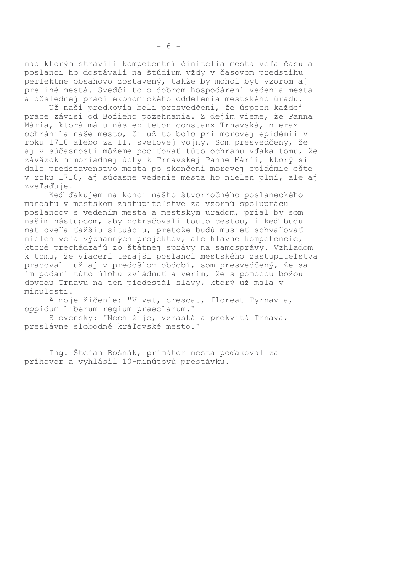nad ktorým strávili kompetentní činitelia mesta veľa času a poslanci ho dostávali na štúdium vždy v časovom predstihu perfektne obsahovo zostavený, takže by mohol byť vzorom aj pre iné mestá. Svedčí to o dobrom hospodárení vedenia mesta a dôslednej práci ekonomického oddelenia mestského úradu.

Už naši predkovia boli presvedčení, že úspech každej práce závisí od Božieho požehnania. Z dejím vieme, že Panna Mária, ktorá má u nás epiteton constanx Trnavská, nieraz ochránila naše mesto, či už to bolo pri morovej epidémii v roku 1710 alebo za II. svetovej vojny. Som presvedčený, že aj v súčasnosti môžeme pociťovať túto ochranu vďaka tomu, že záväzok mimoriadnej úcty k Trnavskej Panne Márii, ktorý si dalo predstavenstvo mesta po skončení morovej epidémie ešte v roku 1710, aj súčasné vedenie mesta ho nielen plní, ale aj zveľaďuje.

Keď ďakujem na konci nášho štvorročného poslaneckého mandátu v mestskom zastupiteľstve za vzornú spoluprácu poslancov s vedením mesta a mestským úradom, prial by som našim nástupcom, aby pokračovali touto cestou, i keď budú mať oveľa ťažšiu situáciu, pretože budú musieť schvaľovať nielen veľa významných projektov, ale hlavne kompetencie, ktoré prechádzajú zo štátnej správy na samosprávy. Vzhľadom k tomu, že viacerí terajší poslanci mestského zastupiteľstva pracovali už aj v predošlom období, som presvedčený, že sa im podarí túto úlohu zvládnuť a verím, že s pomocou božou dovedú Trnavu na ten piedestál slávy, ktorý už mala v minulosti.

A moje žičenie: "Vivat, crescat, floreat Tyrnavia, oppidum liberum regium praeclarum."

Slovensky: "Nech žije, vzrastá a prekvitá Trnava, preslávne slobodné kráľovské mesto."

Ing. Štefan Bošnák, primátor mesta poďakoval za príhovor a vyhlásil 10-minútovú prestávku.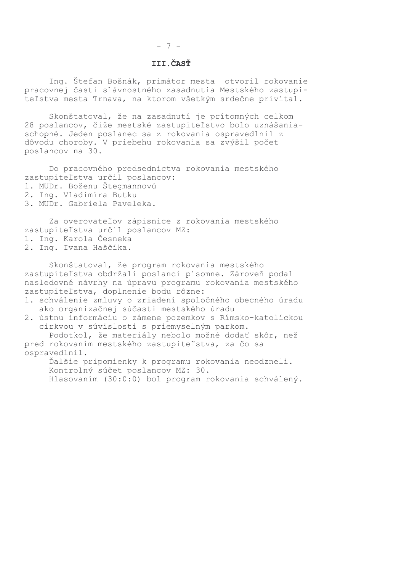#### $-7-$

# III.ČASŤ

Ing. Štefan Bošnák, primátor mesta otvoril rokovanie pracovnej časti slávnostného zasadnutia Mestského zastupiteľstva mesta Trnava, na ktorom všetkým srdečne privítal.

Skonštatoval, že na zasadnutí je prítomných celkom 28 poslancov, čiže mestské zastupiteľstvo bolo uznášaniaschopné. Jeden poslanec sa z rokovania ospravedlnil z dôvodu choroby. V priebehu rokovania sa zvýšil počet poslancov na 30.

Do pracovného predsedníctva rokovania mestského zastupiteľstva určil poslancov: 1. MUDr. Boženu Štegmannovú

- 2. Ing. Vladimíra Butku
- 3. MUDr. Gabriela Paveleka.

Za overovateľov zápisnice z rokovania mestského zastupiteľstva určil poslancov MZ: 1. Ing. Karola Česneka

2. Ing. Ivana Haščíka.

Skonštatoval, že program rokovania mestského zastupiteľstva obdržali poslanci písomne. Zároveň podal nasledovné návrhy na úpravu programu rokovania mestského zastupiteľstva, doplnenie bodu rôzne:

- 1. schválenie zmluvy o zriadení spoločného obecného úradu ako organizačnej súčasti mestského úradu
- 2. ústnu informáciu o zámene pozemkov s Rímsko-katolíckou cirkvou v súvislosti s priemyselným parkom.

Podotkol, že materiály nebolo možné dodať skôr, než pred rokovaním mestského zastupiteľstva, za čo sa ospravedlnil.

Ďalšie pripomienky k programu rokovania neodzneli. Kontrolný súčet poslancov MZ: 30. Hlasovaním (30:0:0) bol program rokovania schválený.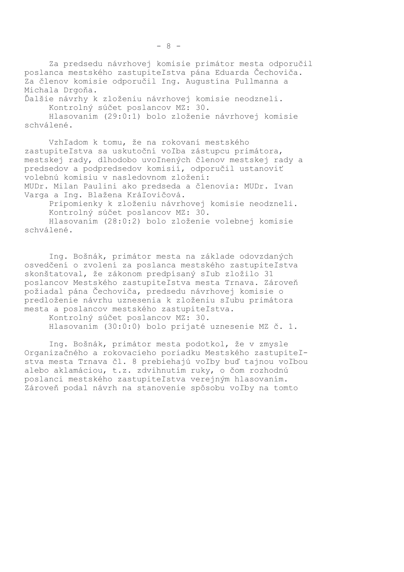Za predsedu návrhovej komisie primátor mesta odporučil poslanca mestského zastupiteľstva pána Eduarda Čechoviča. Za členov komisie odporučil Ing. Augustína Pullmanna a Michala Drgoňa.

Ďalšie návrhy k zloženiu návrhovej komisie neodzneli. Kontrolný súčet poslancov MZ: 30.

Hlasovaním (29:0:1) bolo zloženie návrhovej komisie schválené.

Vzhľadom k tomu, že na rokovaní mestského zastupiteľstva sa uskutoční voľba zástupcu primátora, mestskej rady, dlhodobo uvoľnených členov mestskej rady a predsedov a podpredsedov komisií, odporučil ustanoviť volebnú komisiu v nasledovnom zložení: MUDr. Milan Paulini ako predseda a členovia: MUDr. Ivan Varga a Ing. Blažena Kráľovičová.

Pripomienky k zloženiu návrhovej komisie neodzneli. Kontrolný súčet poslancov MZ: 30.

Hlasovaním (28:0:2) bolo zloženie volebnej komisie schválené.

Ing. Bošnák, primátor mesta na základe odovzdaných osvedčení o zvolení za poslanca mestského zastupiteľstva skonštatoval, že zákonom predpísaný sľub zložilo 31 poslancov Mestského zastupiteľstva mesta Trnava. Zároveň požiadal pána Čechoviča, predsedu návrhovej komisie o predloženie návrhu uznesenia k zloženiu sľubu primátora mesta a poslancov mestského zastupiteľstva.

Kontrolný súčet poslancov MZ: 30. Hlasovaním (30:0:0) bolo prijaté uznesenie MZ č. 1.

Ing. Bošnák, primátor mesta podotkol, že v zmysle Organizačného a rokovacieho poriadku Mestského zastupiteľstva mesta Trnava čl. 8 prebiehajú voľby buď tajnou voľbou alebo aklamáciou, t.z. zdvihnutím ruky, o čom rozhodnú poslanci mestského zastupiteľstva verejným hlasovaním. Zároveň podal návrh na stanovenie spôsobu voľby na tomto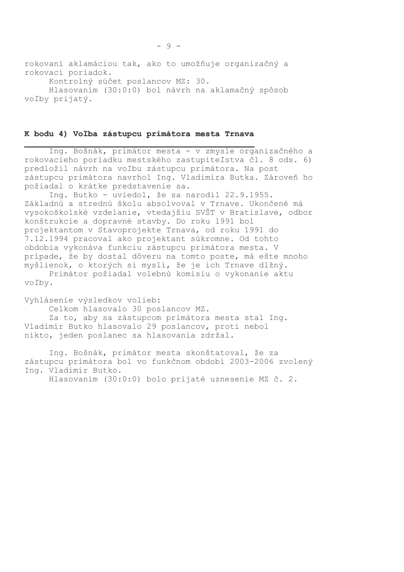rokovaní aklamáciou tak, ako to umožňuje organizačný a rokovací poriadok. Kontrolný súčet poslancov MZ: 30. Hlasovaním (30:0:0) bol návrh na aklamačný spôsob voľby prijatý.

#### K bodu 4) Voľba zástupcu primátora mesta Trnava

Ing. Bošnák, primátor mesta - v zmysle organizačného a rokovacieho poriadku mestského zastupiteľstva čl. 8 ods. 6) predložil návrh na voľbu zástupcu primátora. Na post zástupcu primátora navrhol Ing. Vladimíra Butka. Zároveň ho požiadal o krátke predstavenie sa.

Ing. Butko - uviedol, že sa narodil 22.9.1955. Základnú a strednú školu absolvoval v Trnave. Ukončené má vysokoškolské vzdelanie, vtedajšiu SVŠT v Bratislave, odbor konštrukcie a dopravné stavby. Do roku 1991 bol projektantom v Stavoprojekte Trnava, od roku 1991 do 7.12.1994 pracoval ako projektant súkromne. Od tohto obdobia vykonáva funkciu zástupcu primátora mesta. V prípade, že by dostal dôveru na tomto poste, má ešte mnoho myšlienok, o ktorých si myslí, že je ich Trnave dlžný.

Primátor požiadal volebnú komisiu o vykonanie aktu voľby.

Vyhlásenie výsledkov volieb:

Celkom hlasovalo 30 poslancov MZ.

Za to, aby sa zástupcom primátora mesta stal Inq. Vladimír Butko hlasovalo 29 poslancov, proti nebol nikto, jeden poslanec sa hlasovania zdržal.

Ing. Bošnák, primátor mesta skonštatoval, že za zástupcu primátora bol vo funkčnom období 2003-2006 zvolený Ing. Vladimír Butko.

Hlasovaním (30:0:0) bolo prijaté uznesenie MZ č. 2.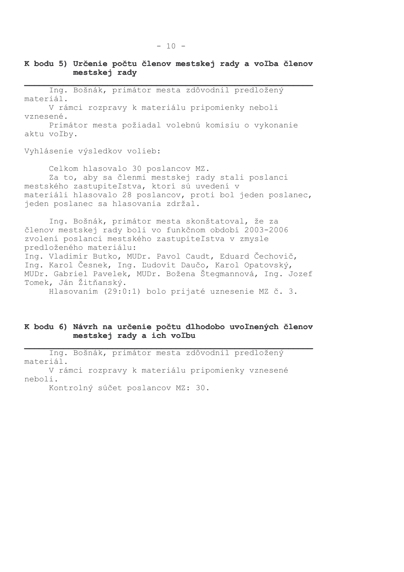Ing. Bošnák, primátor mesta zdôvodnil predložený materiál.

V rámci rozpravy k materiálu pripomienky neboli vznesené.

Primátor mesta požiadal volebnú komisiu o vykonanie aktu voľby.

Vyhlásenie výsledkov volieb:

Celkom hlasovalo 30 poslancov MZ. Za to, aby sa členmi mestskej rady stali poslanci mestského zastupiteľstva, ktorí sú uvedení v materiáli hlasovalo 28 poslancov, proti bol jeden poslanec, jeden poslanec sa hlasovania zdržal.

Ing. Bošnák, primátor mesta skonštatoval, že za členov mestskej rady boli vo funkčnom období 2003-2006 zvolení poslanci mestského zastupiteľstva v zmysle predloženého materiálu: Ing. Vladimír Butko, MUDr. Pavol Caudt, Eduard Čechovič, Ing. Karol Česnek, Ing. Ľudovít Daučo, Karol Opatovský, MUDr. Gabriel Pavelek, MUDr. Božena Štegmannová, Ing. Jozef Tomek, Ján Žitňanský.

Hlasovaním (29:0:1) bolo prijaté uznesenie MZ č. 3.

### K bodu 6) Návrh na určenie počtu dlhodobo uvoľnených členov mestskej rady a ich voľbu

Ing. Bošnák, primátor mesta zdôvodnil predložený materiál. V rámci rozpravy k materiálu pripomienky vznesené neboli.

Kontrolný súčet poslancov MZ: 30.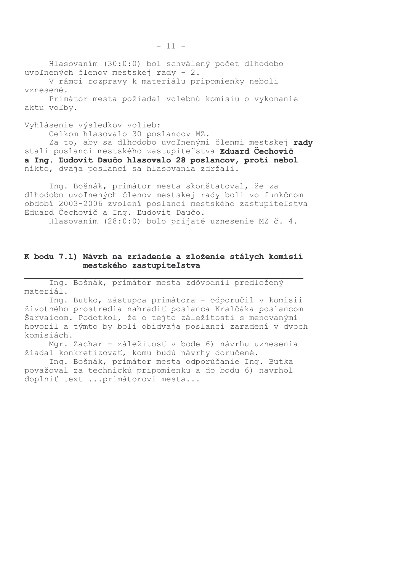Hlasovaním (30:0:0) bol schválený počet dlhodobo uvoľnených členov mestskej rady - 2.

V rámci rozpravy k materiálu pripomienky neboli vznesené.

Primátor mesta požiadal volebnú komisiu o vykonanie aktu voľby.

Vyhlásenie výsledkov volieb:

Celkom hlasovalo 30 poslancov MZ.

Za to, aby sa dlhodobo uvoľnenými členmi mestskej rady stali poslanci mestského zastupiteľstva Eduard Čechovič a Ing. Ľudovít Daučo hlasovalo 28 poslancov, proti nebol nikto, dvaja poslanci sa hlasovania zdržali.

Ing. Bošnák, primátor mesta skonštatoval, že za dlhodobo uvoľnených členov mestskej rady boli vo funkčnom období 2003-2006 zvolení poslanci mestského zastupiteľstva Eduard Čechovič a Ing. Ľudovít Daučo. Hlasovaním (28:0:0) bolo prijaté uznesenie MZ č. 4.

### K bodu 7.1) Návrh na zriadenie a zloženie stálych komisií mestského zastupiteľstva

Ing. Bošnák, primátor mesta zdôvodnil predložený materiál.

Ing. Butko, zástupca primátora - odporučil v komisii životného prostredia nahradiť poslanca Kralčáka poslancom Šarvaicom. Podotkol, že o tejto záležitosti s menovanými hovoril a týmto by boli obidvaja poslanci zaradení v dvoch komisiách.

Mgr. Zachar - záležitosť v bode 6) návrhu uznesenia žiadal konkretizovať, komu budú návrhy doručené.

Ing. Bošnák, primátor mesta odporúčanie Ing. Butka považoval za technickú pripomienku a do bodu 6) navrhol doplniť text ... primátorovi mesta...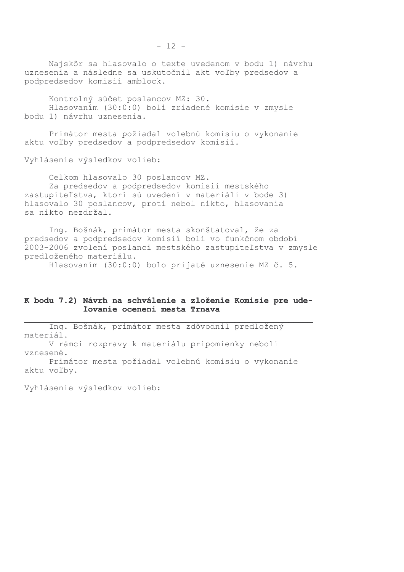Najskôr sa hlasovalo o texte uvedenom v bodu 1) návrhu uznesenia a následne sa uskutočnil akt voľby predsedov a podpredsedov komisií amblock.

Kontrolný súčet poslancov MZ: 30. Hlasovaním (30:0:0) boli zriadené komisie v zmysle bodu 1) návrhu uznesenia.

Primátor mesta požiadal volebnú komisiu o vykonanie aktu voľby predsedov a podpredsedov komisií.

Vyhlásenie výsledkov volieb:

Celkom hlasovalo 30 poslancov MZ. Za predsedov a podpredsedov komisií mestského zastupiteľstva, ktorí sú uvedení v materiáli v bode 3) hlasovalo 30 poslancov, proti nebol nikto, hlasovania sa nikto nezdržal.

Ing. Bošnák, primátor mesta skonštatoval, že za predsedov a podpredsedov komisií boli vo funkčnom období 2003-2006 zvolení poslanci mestského zastupiteľstva v zmysle predloženého materiálu.

Hlasovaním (30:0:0) bolo prijaté uznesenie MZ č. 5.

### K bodu 7.2) Návrh na schválenie a zloženie Komisie pre udel'ovanie ocenení mesta Trnava

Ing. Bošnák, primátor mesta zdôvodnil predložený materiál. V rámci rozpravy k materiálu pripomienky neboli vznesené. Primátor mesta požiadal volebnú komisiu o vykonanie aktu voľby.

Vyhlásenie výsledkov volieb: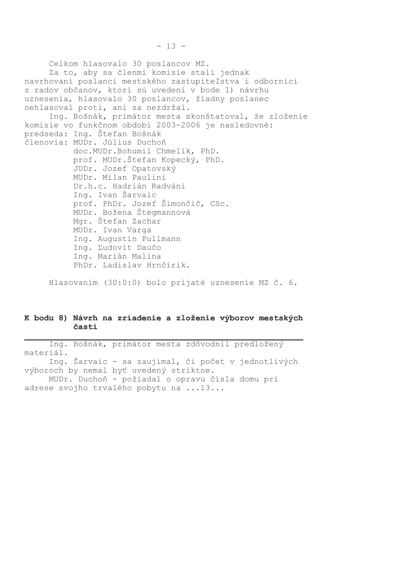Celkom hlasovalo 30 poslancov MZ. Za to, aby sa členmi komisie stali jednak navrhovaní poslanci mestského zastupiteľstva i odborníci z radov občanov, ktorí sú uvedení v bode 1) návrhu uznesenia, hlasovalo 30 poslancov, žiadny poslanec nehlasoval proti, ani sa nezdržal. Ing. Bošnák, primátor mesta skonštatoval, že zloženie komisie vo funkčnom období 2003-2006 je nasledovné: predseda: Ing. Štefan Bošnák členovia: MUDr. Július Duchoň doc.MUDr.Bohumil Chmelík, PhD. prof. MUDr.Štefan Kopecký, PhD. JUDr. Jozef Opatovský MUDr. Milan Paulini Dr.h.c. Hadrián Radváni Ing. Ivan Šarvaic prof. PhDr. Jozef Šimončič, CSc. MUDr. Božena Štegmannová Mgr. Štefan Zachar MUDr. Ivan Varga Ing. Augustín Pullmann Ing. Ľudovít Daučo Ing. Marián Malina PhDr. Ladislav Hrnčírik.

Hlasovaním (30:0:0) bolo prijaté uznesenie MZ č. 6.

### K bodu 8) Návrh na zriadenie a zloženie výborov mestských častí

Ing. Bošnák, primátor mesta zdôvodnil predložený materiál. Ing. Šarvaic - sa zaujímal, či počet v jednotlivých výboroch by nemal byť uvedený striktne. MUDr. Duchoň - požiadal o opravu čísla domu pri adrese svojho trvalého pobytu na ... 13...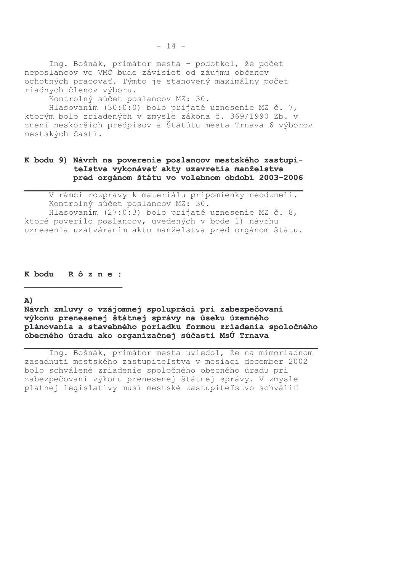Ing. Bošnák, primátor mesta - podotkol, že počet<br>neposlancov vo VMČ bude závisieť od záujmu občanov ochotných pracovať. Týmto je stanovený maximálny počet riadnych členov výboru.

Kontrolný súčet poslancov MZ: 30.

Hlasovaním (30:0:0) bolo prijaté uznesenie MZ č. 7, ktorým bolo zriadených v zmysle zákona č. 369/1990 Zb. v znení neskorších predpisov a Štatútu mesta Trnava 6 výborov mestských častí.

## K bodu 9) Návrh na poverenie poslancov mestského zastupiteľstva vykonávať akty uzavretia manželstva pred orgánom štátu vo volebnom období 2003-2006

V rámci rozpravy k materiálu pripomienky neodzneli. Kontrolný súčet poslancov MZ: 30. Hlasovaním (27:0:3) bolo prijaté uznesenie MZ č. 8, ktoré poverilo poslancov, uvedených v bode 1) návrhu uznesenia uzatváraním aktu manželstva pred orgánom štátu.

K bodu R ô z n e :

A)

Návrh zmluvy o vzájomnej spolupráci pri zabezpečovaní výkonu prenesenej štátnej správy na úseku územného plánovania a stavebného poriadku formou zriadenia spoločného obecného úradu ako organizačnej súčasti MsÚ Trnava

Ing. Bošnák, primátor mesta uviedol, že na mimoriadnom zasadnutí mestského zastupiteľstva v mesiaci december 2002 bolo schválené zriadenie spoločného obecného úradu pri zabezpečovaní výkonu prenesenej štátnej správy. V zmysle platnej legislatívy musí mestské zastupiteľstvo schváliť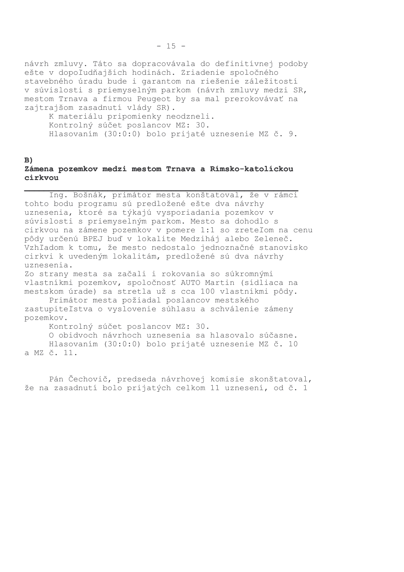návrh zmluvy. Táto sa dopracovávala do definitívnej podoby ešte v dopoľudňajších hodinách. Zriadenie spoločného stavebného úradu bude i garantom na riešenie záležitostí v súvislosti s priemyselným parkom (návrh zmluvy medzi SR, mestom Trnava a firmou Peugeot by sa mal prerokovávať na zajtrajšom zasadnutí vlády SR).

K materiálu pripomienky neodzneli. Kontrolný súčet poslancov MZ: 30. Hlasovaním (30:0:0) bolo prijaté uznesenie MZ č. 9.

### $B)$

### Zámena pozemkov medzi mestom Trnava a Rímsko-katolíckou ci rkvou

Ing. Bošnák, primátor mesta konštatoval, že v rámci tohto bodu programu sú predložené ešte dva návrhy uznesenia, ktoré sa týkajú vysporiadania pozemkov v súvislosti s priemyselným parkom. Mesto sa dohodlo s cirkvou na zámene pozemkov v pomere 1:1 so zreteľom na cenu pôdy určenú BPEJ buď v lokalite Medziháj alebo Zeleneč. Vzhľadom k tomu, že mesto nedostalo jednoznačné stanovisko cirkvi k uvedeným lokalitám, predložené sú dva návrhy uznesenia.

Zo strany mesta sa začali i rokovania so súkromnými vlastníkmi pozemkov, spoločnosť AUTO Martin (sídliaca na mestskom úrade) sa stretla už s cca 100 vlastníkmi pôdy.

Primátor mesta požiadal poslancov mestského zastupiteľstva o vyslovenie súhlasu a schválenie zámeny pozemkov.

Kontrolný súčet poslancov MZ: 30.

O obidvoch návrhoch uznesenia sa hlasovalo súčasne. Hlasovaním (30:0:0) bolo prijaté uznesenie MZ č. 10 a MZ č. 11.

Pán Čechovič, predseda návrhovej komisie skonštatoval, že na zasadnutí bolo prijatých celkom 11 uznesení, od č. 1